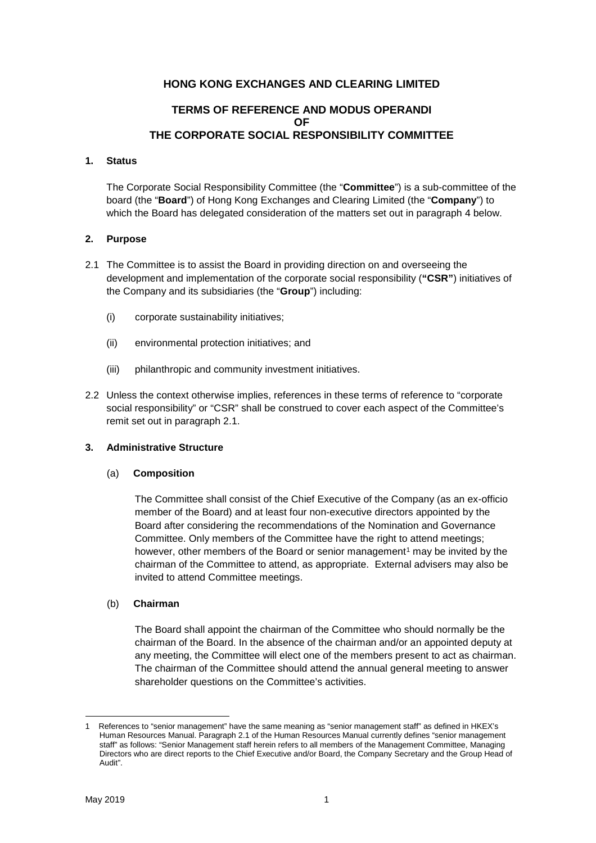# **HONG KONG EXCHANGES AND CLEARING LIMITED**

# **TERMS OF REFERENCE AND MODUS OPERANDI OF THE CORPORATE SOCIAL RESPONSIBILITY COMMITTEE**

## **1. Status**

The Corporate Social Responsibility Committee (the "**Committee**") is a sub-committee of the board (the "**Board**") of Hong Kong Exchanges and Clearing Limited (the "**Company**") to which the Board has delegated consideration of the matters set out in paragraph 4 below.

## **2. Purpose**

- 2.1 The Committee is to assist the Board in providing direction on and overseeing the development and implementation of the corporate social responsibility (**"CSR"**) initiatives of the Company and its subsidiaries (the "**Group**") including:
	- (i) corporate sustainability initiatives;
	- (ii) environmental protection initiatives; and
	- (iii) philanthropic and community investment initiatives.
- 2.2 Unless the context otherwise implies, references in these terms of reference to "corporate social responsibility" or "CSR" shall be construed to cover each aspect of the Committee's remit set out in paragraph 2.1.

## **3. Administrative Structure**

## (a) **Composition**

The Committee shall consist of the Chief Executive of the Company (as an ex-officio member of the Board) and at least four non-executive directors appointed by the Board after considering the recommendations of the Nomination and Governance Committee. Only members of the Committee have the right to attend meetings; however, other members of the Board or senior management<sup>[1](#page-0-0)</sup> may be invited by the chairman of the Committee to attend, as appropriate. External advisers may also be invited to attend Committee meetings.

## (b) **Chairman**

The Board shall appoint the chairman of the Committee who should normally be the chairman of the Board. In the absence of the chairman and/or an appointed deputy at any meeting, the Committee will elect one of the members present to act as chairman. The chairman of the Committee should attend the annual general meeting to answer shareholder questions on the Committee's activities.

<span id="page-0-0"></span>References to "senior management" have the same meaning as "senior management staff" as defined in HKEX's Human Resources Manual. Paragraph 2.1 of the Human Resources Manual currently defines "senior management staff" as follows: "Senior Management staff herein refers to all members of the Management Committee, Managing Directors who are direct reports to the Chief Executive and/or Board, the Company Secretary and the Group Head of Audit".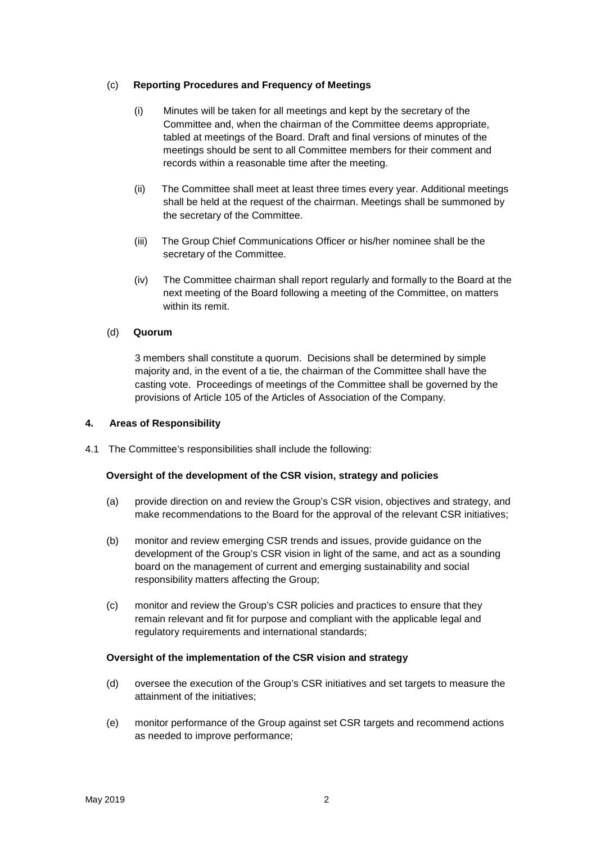## (c) **Reporting Procedures and Frequency of Meetings**

- (i) Minutes will be taken for all meetings and kept by the secretary of the Committee and, when the chairman of the Committee deems appropriate, tabled at meetings of the Board. Draft and final versions of minutes of the meetings should be sent to all Committee members for their comment and records within a reasonable time after the meeting.
- (ii) The Committee shall meet at least three times every year. Additional meetings shall be held at the request of the chairman. Meetings shall be summoned by the secretary of the Committee.
- (iii) The Group Chief Communications Officer or his/her nominee shall be the secretary of the Committee.
- (iv) The Committee chairman shall report regularly and formally to the Board at the next meeting of the Board following a meeting of the Committee, on matters within its remit.

## (d) **Quorum**

3 members shall constitute a quorum. Decisions shall be determined by simple majority and, in the event of a tie, the chairman of the Committee shall have the casting vote. Proceedings of meetings of the Committee shall be governed by the provisions of Article 105 of the Articles of Association of the Company.

## **4. Areas of Responsibility**

4.1 The Committee's responsibilities shall include the following:

## **Oversight of the development of the CSR vision, strategy and policies**

- (a) provide direction on and review the Group's CSR vision, objectives and strategy, and make recommendations to the Board for the approval of the relevant CSR initiatives;
- (b) monitor and review emerging CSR trends and issues, provide guidance on the development of the Group's CSR vision in light of the same, and act as a sounding board on the management of current and emerging sustainability and social responsibility matters affecting the Group;
- (c) monitor and review the Group's CSR policies and practices to ensure that they remain relevant and fit for purpose and compliant with the applicable legal and regulatory requirements and international standards;

## **Oversight of the implementation of the CSR vision and strategy**

- (d) oversee the execution of the Group's CSR initiatives and set targets to measure the attainment of the initiatives;
- (e) monitor performance of the Group against set CSR targets and recommend actions as needed to improve performance;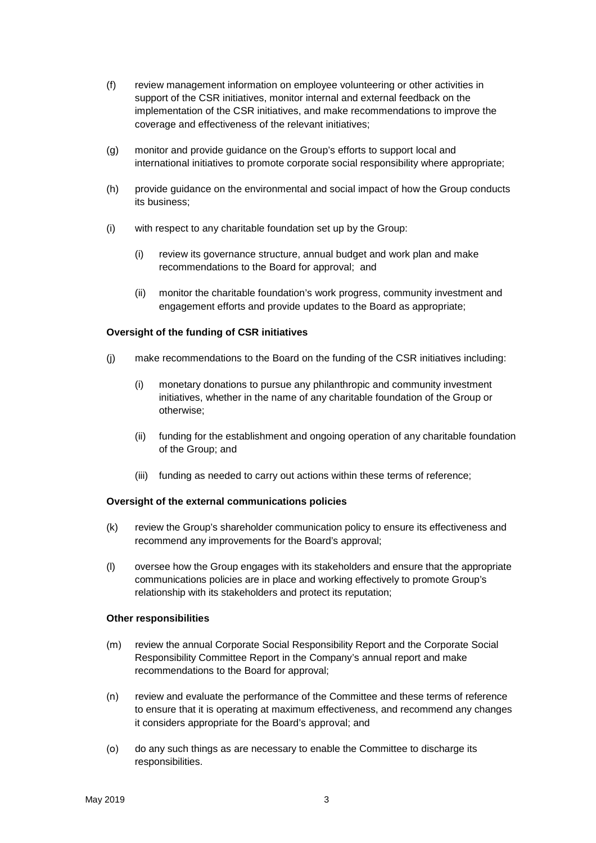- (f) review management information on employee volunteering or other activities in support of the CSR initiatives, monitor internal and external feedback on the implementation of the CSR initiatives, and make recommendations to improve the coverage and effectiveness of the relevant initiatives;
- (g) monitor and provide guidance on the Group's efforts to support local and international initiatives to promote corporate social responsibility where appropriate;
- (h) provide guidance on the environmental and social impact of how the Group conducts its business;
- (i) with respect to any charitable foundation set up by the Group:
	- (i) review its governance structure, annual budget and work plan and make recommendations to the Board for approval; and
	- (ii) monitor the charitable foundation's work progress, community investment and engagement efforts and provide updates to the Board as appropriate;

## **Oversight of the funding of CSR initiatives**

- (j) make recommendations to the Board on the funding of the CSR initiatives including:
	- (i) monetary donations to pursue any philanthropic and community investment initiatives, whether in the name of any charitable foundation of the Group or otherwise;
	- (ii) funding for the establishment and ongoing operation of any charitable foundation of the Group; and
	- (iii) funding as needed to carry out actions within these terms of reference;

## **Oversight of the external communications policies**

- (k) review the Group's shareholder communication policy to ensure its effectiveness and recommend any improvements for the Board's approval;
- (l) oversee how the Group engages with its stakeholders and ensure that the appropriate communications policies are in place and working effectively to promote Group's relationship with its stakeholders and protect its reputation;

## **Other responsibilities**

- (m) review the annual Corporate Social Responsibility Report and the Corporate Social Responsibility Committee Report in the Company's annual report and make recommendations to the Board for approval;
- (n) review and evaluate the performance of the Committee and these terms of reference to ensure that it is operating at maximum effectiveness, and recommend any changes it considers appropriate for the Board's approval; and
- (o) do any such things as are necessary to enable the Committee to discharge its responsibilities.